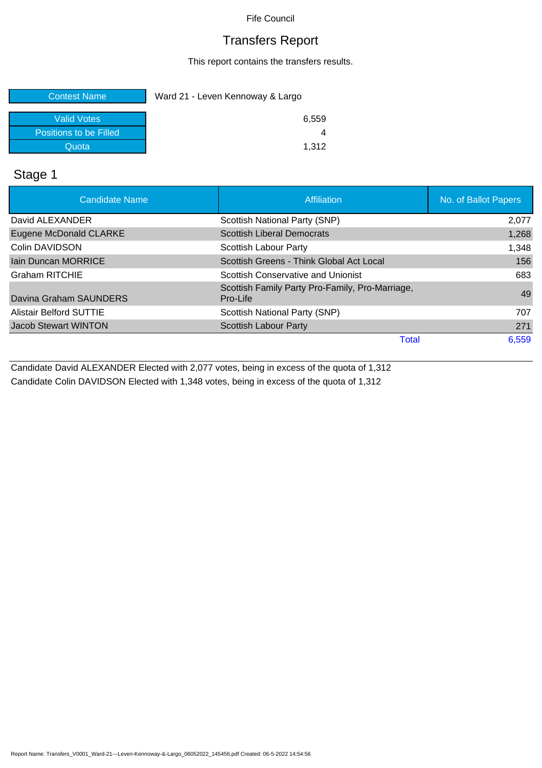Fife Council

#### Transfers Report

This report contains the transfers results.

| <b>Contest Name</b>    | Ward 21 - Leven Kennoway & Largo |  |  |
|------------------------|----------------------------------|--|--|
| <b>Valid Votes</b>     | 6,559                            |  |  |
| Positions to be Filled |                                  |  |  |
| Quota                  | 1.312                            |  |  |

### Stage 1

| <b>Candidate Name</b>          | Affiliation                                                 | No. of Ballot Papers |
|--------------------------------|-------------------------------------------------------------|----------------------|
| David ALEXANDER                | Scottish National Party (SNP)                               | 2,077                |
| <b>Eugene McDonald CLARKE</b>  | <b>Scottish Liberal Democrats</b>                           | 1,268                |
| Colin DAVIDSON                 | Scottish Labour Party                                       | 1,348                |
| <b>Jain Duncan MORRICE</b>     | Scottish Greens - Think Global Act Local                    | 156                  |
| <b>Graham RITCHIE</b>          | Scottish Conservative and Unionist                          | 683                  |
| Davina Graham SAUNDERS         | Scottish Family Party Pro-Family, Pro-Marriage,<br>Pro-Life | 49                   |
| <b>Alistair Belford SUTTIE</b> | Scottish National Party (SNP)                               | 707                  |
| <b>Jacob Stewart WINTON</b>    | Scottish Labour Party                                       | 271                  |
|                                | Total                                                       | 6,559                |

Candidate David ALEXANDER Elected with 2,077 votes, being in excess of the quota of 1,312 Candidate Colin DAVIDSON Elected with 1,348 votes, being in excess of the quota of 1,312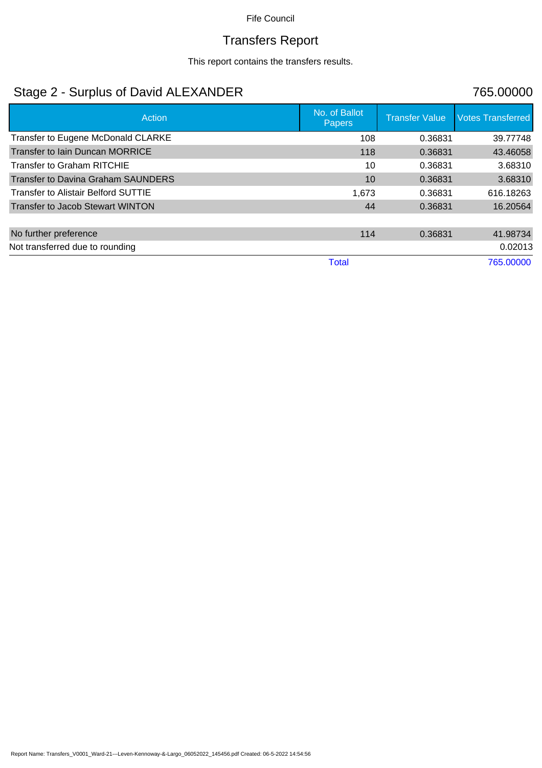#### Fife Council

# Transfers Report

This report contains the transfers results.

### Stage 2 - Surplus of David ALEXANDER 765.00000

| Action                                     | No. of Ballot<br><b>Papers</b> | <b>Transfer Value</b> | <b>Votes Transferred</b> |
|--------------------------------------------|--------------------------------|-----------------------|--------------------------|
| Transfer to Eugene McDonald CLARKE         | 108                            | 0.36831               | 39.77748                 |
| <b>Transfer to lain Duncan MORRICE</b>     | 118                            | 0.36831               | 43.46058                 |
| Transfer to Graham RITCHIE                 | 10                             | 0.36831               | 3.68310                  |
| Transfer to Davina Graham SAUNDERS         | 10                             | 0.36831               | 3.68310                  |
| <b>Transfer to Alistair Belford SUTTIE</b> | 1.673                          | 0.36831               | 616.18263                |
| Transfer to Jacob Stewart WINTON           | 44                             | 0.36831               | 16.20564                 |
|                                            |                                |                       |                          |
| No further preference                      | 114                            | 0.36831               | 41.98734                 |
| Not transferred due to rounding            |                                |                       | 0.02013                  |
|                                            | Total                          |                       | 765,00000                |